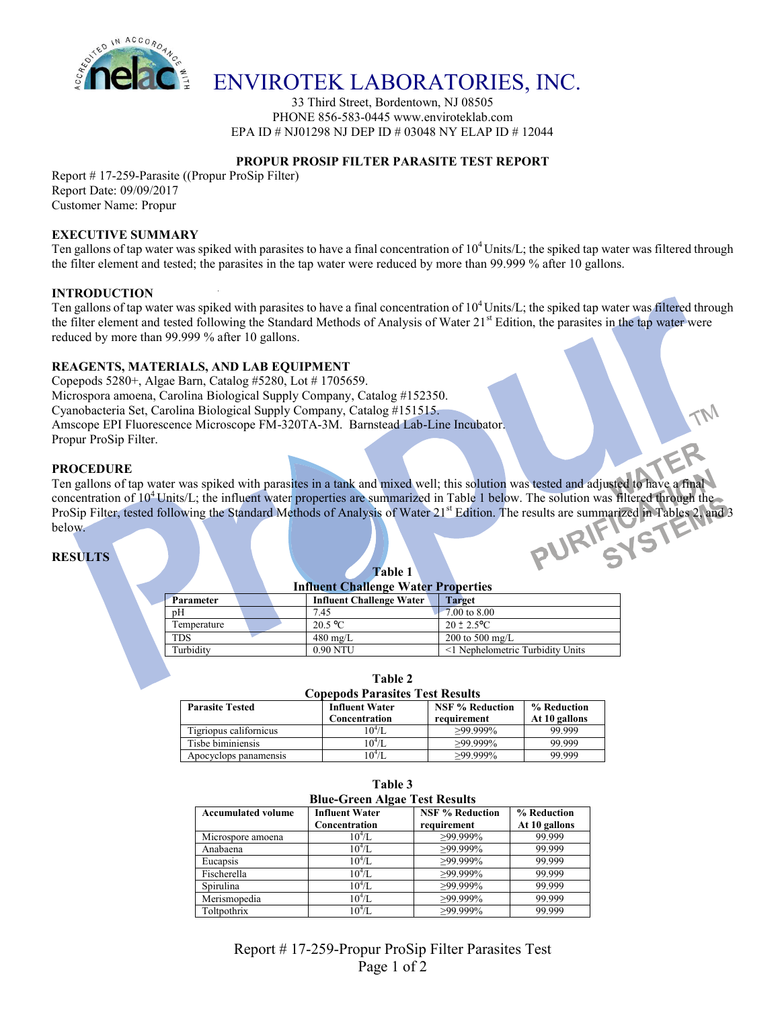

## ENVIROTEK LABORATORIES, INC.

33 Third Street, Bordentown, NJ 08505 PHONE 856-583-0445 www.enviroteklab.com EPA ID # NJ01298 NJ DEP ID # 03048 NY ELAP ID # 12044

## **PROPUR PROSIP FILTER PARASITE TEST REPORT**

Report # 17-259-Parasite ((Propur ProSip Filter) Report Date: 09/09/2017 Customer Name: Propur

#### **EXECUTIVE SUMMARY**

Ten gallons of tap water was spiked with parasites to have a final concentration of  $10^4$  Units/L; the spiked tap water was filtered through the filter element and tested; the parasites in the tap water were reduced by more than 99.999 % after 10 gallons.

#### **INTRODUCTION**

Ten gallons of tap water was spiked with parasites to have a final concentration of  $10^4$  Units/L; the spiked tap water was filtered through the filter element and tested following the Standard Methods of Analysis of Water 21<sup>st</sup> Edition, the parasites in the tap water were reduced by more than 99.999 % after 10 gallons.

#### **REAGENTS, MATERIALS, AND LAB EQUIPMENT**

Copepods 5280+, Algae Barn, Catalog #5280, Lot # 1705659. Microspora amoena, Carolina Biological Supply Company, Catalog #152350. Cyanobacteria Set, Carolina Biological Supply Company, Catalog #151515. Amscope EPI Fluorescence Microscope FM-320TA-3M. Barnstead Lab-Line Incubator. Propur ProSip Filter.

#### **PROCEDURE**

Ten gallons of tap water was spiked with parasites in a tank and mixed well; this solution was tested and adjusted to have a final concentration of 10<sup>4</sup> Units/L; the influent water properties are summarized in Table 1 below. The solution was filtered through the ProSip Filter, tested following the Standard Methods of Analysis of Water 21<sup>st</sup> Edition. The results are summarized in Tables 2, and 3<br>below.<br>RESULTS below.

**Table 1**

#### **RESULTS**

|  |                  | <b>Influent Challenge Water Properties</b> |                                 |                                  |  |  |  |
|--|------------------|--------------------------------------------|---------------------------------|----------------------------------|--|--|--|
|  | <b>Parameter</b> |                                            | <b>Influent Challenge Water</b> | <b>Target</b>                    |  |  |  |
|  | pΗ               |                                            | 7.45                            | 7.00 to 8.00                     |  |  |  |
|  | Temperature      |                                            | $20.5 \text{ °C}$               | $20 \pm 2.5^{\circ}$ C           |  |  |  |
|  | TDS              |                                            | $480 \text{ mg/L}$              | 200 to 500 mg/L                  |  |  |  |
|  | Turbidity        |                                            | 0.90 NTU                        | <1 Nephelometric Turbidity Units |  |  |  |

| <b>Copepods Parasites Test Results</b> |                                        |                                       |                              |  |  |  |  |
|----------------------------------------|----------------------------------------|---------------------------------------|------------------------------|--|--|--|--|
| <b>Parasite Tested</b>                 | <b>Influent Water</b><br>Concentration | <b>NSF % Reduction</b><br>requirement | % Reduction<br>At 10 gallons |  |  |  |  |
| Tigriopus californicus                 | $10^{4}/L$                             | $>99.999\%$                           | 99.999                       |  |  |  |  |
| Tisbe biminiensis                      | $10^{4}/L$                             | $>99.999\%$                           | 99.999                       |  |  |  |  |
| Apocyclops panamensis                  | $10^4/L$                               | $>99.999\%$                           | 99.999                       |  |  |  |  |

**Table 3**

**Table 2**

| таніс э                              |                                        |                                       |                              |  |  |  |  |
|--------------------------------------|----------------------------------------|---------------------------------------|------------------------------|--|--|--|--|
| <b>Blue-Green Algae Test Results</b> |                                        |                                       |                              |  |  |  |  |
| <b>Accumulated volume</b>            | <b>Influent Water</b><br>Concentration | <b>NSF % Reduction</b><br>requirement | % Reduction<br>At 10 gallons |  |  |  |  |
| Microspore amoena                    | $10^4$ /L                              | $>99.999\%$                           | 99.999                       |  |  |  |  |
| Anabaena                             | $10^4$ /L.                             | $>99.999\%$                           | 99.999                       |  |  |  |  |
| Eucapsis                             | $10^4$ /L.                             | $>99.999\%$                           | 99.999                       |  |  |  |  |
| Fischerella                          | $10^{4}/L$                             | $>99.999\%$                           | 99.999                       |  |  |  |  |
| Spirulina                            | $10^{4}/L$                             | $>99.999\%$                           | 99.999                       |  |  |  |  |
| Merismopedia                         | $10^{4}/L$                             | $>99.999\%$                           | 99.999                       |  |  |  |  |
| Toltpothrix                          | $10^4$ /L                              | $>99.999\%$                           | 99.999                       |  |  |  |  |

Report # 17-259-Propur ProSip Filter Parasites Test Page 1 of 2